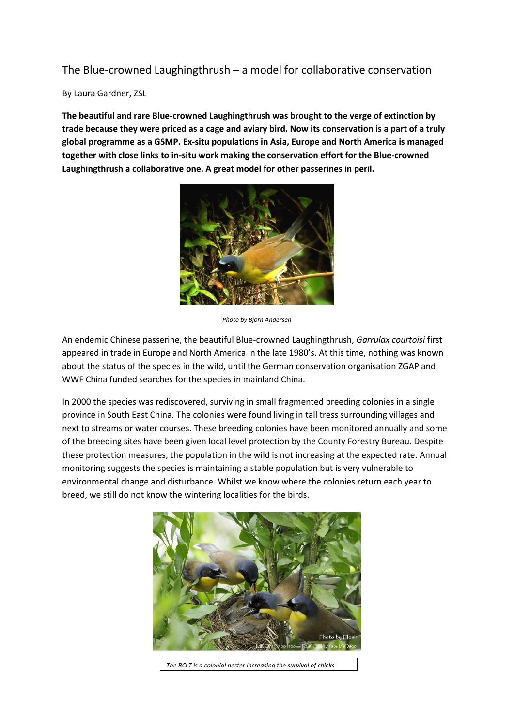## The Blue-crowned Laughingthrush – a model for collaborative conservation

## By Laura Gardner, ZSL

**The beautiful and rare Blue-crowned Laughingthrush was brought to the verge of extinction by trade because they were priced as a cage and aviary bird. Now its conservation is a part of a truly global programme as a GSMP. Ex-situ populations in Asia, Europe and North America is managed together with close links to in-situ work making the conservation effort for the Blue-crowned Laughingthrush a collaborative one. A great model for other passerines in peril.** 



*Photo by Bjorn Andersen*

An endemic Chinese passerine, the beautiful Blue-crowned Laughingthrush, *Garrulax courtoisi* first appeared in trade in Europe and North America in the late 1980's. At this time, nothing was known about the status of the species in the wild, until the German conservation organisation ZGAP and WWF China funded searches for the species in mainland China.

In 2000 the species was rediscovered, surviving in small fragmented breeding colonies in a single province in South East China. The colonies were found living in tall tress surrounding villages and next to streams or water courses. These breeding colonies have been monitored annually and some of the breeding sites have been given local level protection by the County Forestry Bureau. Despite these protection measures, the population in the wild is not increasing at the expected rate. Annual monitoring suggests the species is maintaining a stable population but is very vulnerable to environmental change and disturbance. Whilst we know where the colonies return each year to breed, we still do not know the wintering localities for the birds.



*The BCLT is a colonial nester increasing the survival of chicks*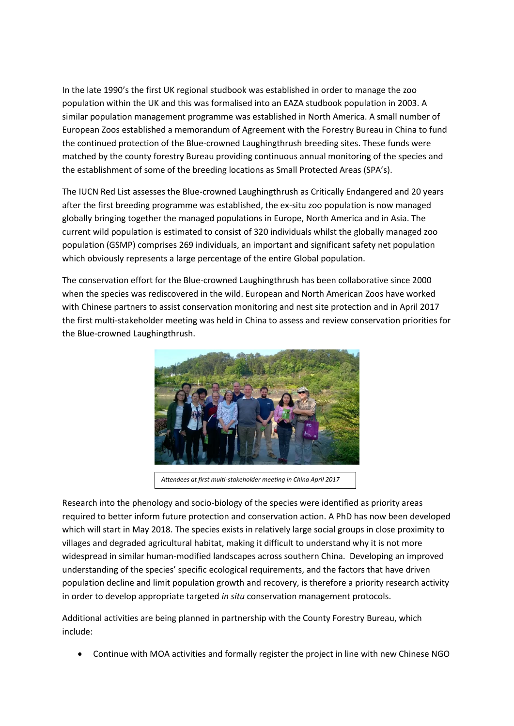In the late 1990's the first UK regional studbook was established in order to manage the zoo population within the UK and this was formalised into an EAZA studbook population in 2003. A similar population management programme was established in North America. A small number of European Zoos established a memorandum of Agreement with the Forestry Bureau in China to fund the continued protection of the Blue-crowned Laughingthrush breeding sites. These funds were matched by the county forestry Bureau providing continuous annual monitoring of the species and the establishment of some of the breeding locations as Small Protected Areas (SPA's).

The IUCN Red List assesses the Blue-crowned Laughingthrush as Critically Endangered and 20 years after the first breeding programme was established, the ex-situ zoo population is now managed globally bringing together the managed populations in Europe, North America and in Asia. The current wild population is estimated to consist of 320 individuals whilst the globally managed zoo population (GSMP) comprises 269 individuals, an important and significant safety net population which obviously represents a large percentage of the entire Global population.

The conservation effort for the Blue-crowned Laughingthrush has been collaborative since 2000 when the species was rediscovered in the wild. European and North American Zoos have worked with Chinese partners to assist conservation monitoring and nest site protection and in April 2017 the first multi-stakeholder meeting was held in China to assess and review conservation priorities for the Blue-crowned Laughingthrush.



*Attendees at first multi-stakeholder meeting in China April 2017*

Research into the phenology and socio-biology of the species were identified as priority areas required to better inform future protection and conservation action. A PhD has now been developed which will start in May 2018. The species exists in relatively large social groups in close proximity to villages and degraded agricultural habitat, making it difficult to understand why it is not more widespread in similar human-modified landscapes across southern China. Developing an improved understanding of the species' specific ecological requirements, and the factors that have driven population decline and limit population growth and recovery, is therefore a priority research activity in order to develop appropriate targeted *in situ* conservation management protocols.

Additional activities are being planned in partnership with the County Forestry Bureau, which include:

• Continue with MOA activities and formally register the project in line with new Chinese NGO